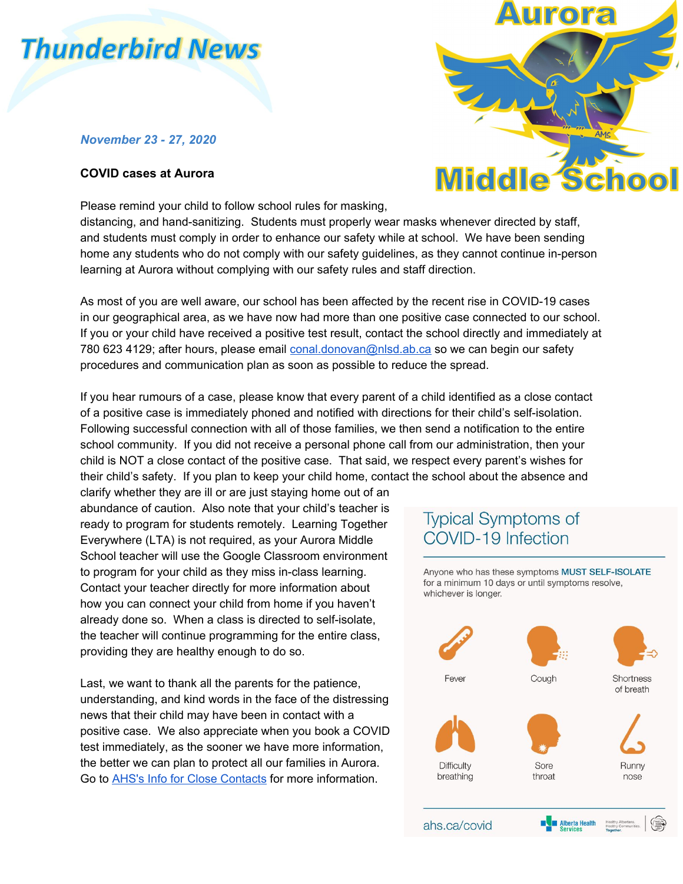# **Thunderbird News**

### *November 23 - 27, 2020*

### **COVID cases at Aurora**

Please remind your child to follow school rules for masking,



distancing, and hand-sanitizing. Students must properly wear masks whenever directed by staff, and students must comply in order to enhance our safety while at school. We have been sending home any students who do not comply with our safety guidelines, as they cannot continue in-person learning at Aurora without complying with our safety rules and staff direction.

As most of you are well aware, our school has been affected by the recent rise in COVID-19 cases in our geographical area, as we have now had more than one positive case connected to our school. If you or your child have received a positive test result, contact the school directly and immediately at 780 623 4129; after hours, please email [conal.donovan@nlsd.ab.ca](mailto:conal.donovan@nlsd.ab.ca) so we can begin our safety procedures and communication plan as soon as possible to reduce the spread.

If you hear rumours of a case, please know that every parent of a child identified as a close contact of a positive case is immediately phoned and notified with directions for their child's self-isolation. Following successful connection with all of those families, we then send a notification to the entire school community. If you did not receive a personal phone call from our administration, then your child is NOT a close contact of the positive case. That said, we respect every parent's wishes for their child's safety. If you plan to keep your child home, contact the school about the absence and

clarify whether they are ill or are just staying home out of an abundance of caution. Also note that your child's teacher is ready to program for students remotely. Learning Together Everywhere (LTA) is not required, as your Aurora Middle School teacher will use the Google Classroom environment to program for your child as they miss in-class learning. Contact your teacher directly for more information about how you can connect your child from home if you haven't already done so. When a class is directed to self-isolate, the teacher will continue programming for the entire class, providing they are healthy enough to do so.

Last, we want to thank all the parents for the patience, understanding, and kind words in the face of the distressing news that their child may have been in contact with a positive case. We also appreciate when you book a COVID test immediately, as the sooner we have more information, the better we can plan to protect all our families in Aurora. Go to [AHS's Info for Close Contacts](https://www.albertahealthservices.ca/topics/Page17221.aspx) for more information.

## **Typical Symptoms of** COVID-19 Infection

Anyone who has these symptoms MUST SELF-ISOLATE for a minimum 10 days or until symptoms resolve, whichever is longer.